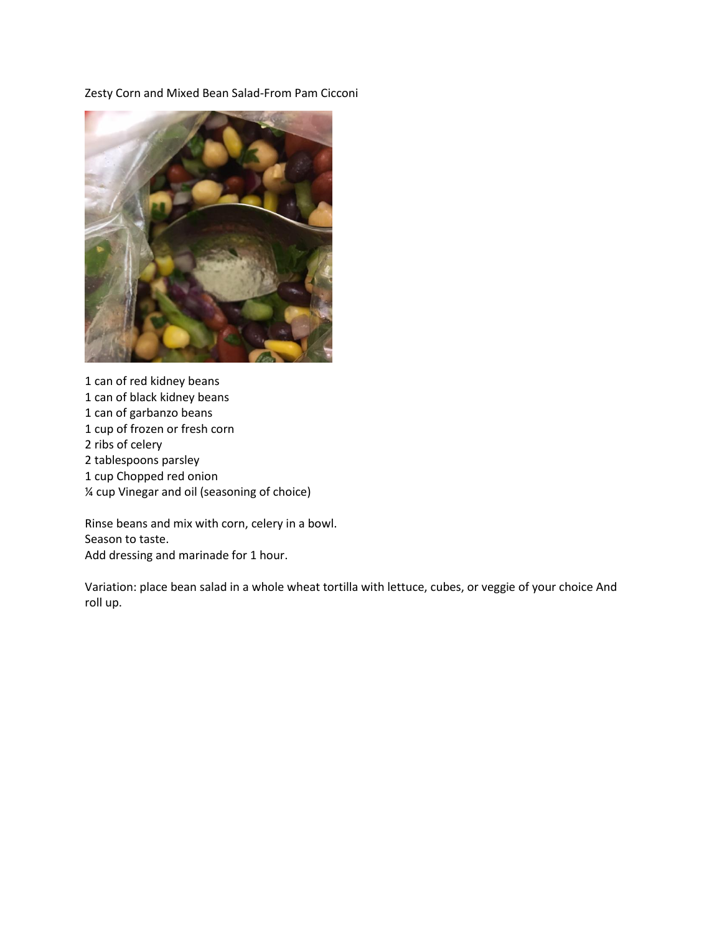Zesty Corn and Mixed Bean Salad-From Pam Cicconi



1 can of red kidney beans 1 can of black kidney beans 1 can of garbanzo beans 1 cup of frozen or fresh corn 2 ribs of celery 2 tablespoons parsley 1 cup Chopped red onion ¼ cup Vinegar and oil (seasoning of choice)

Rinse beans and mix with corn, celery in a bowl. Season to taste. Add dressing and marinade for 1 hour.

Variation: place bean salad in a whole wheat tortilla with lettuce, cubes, or veggie of your choice And roll up.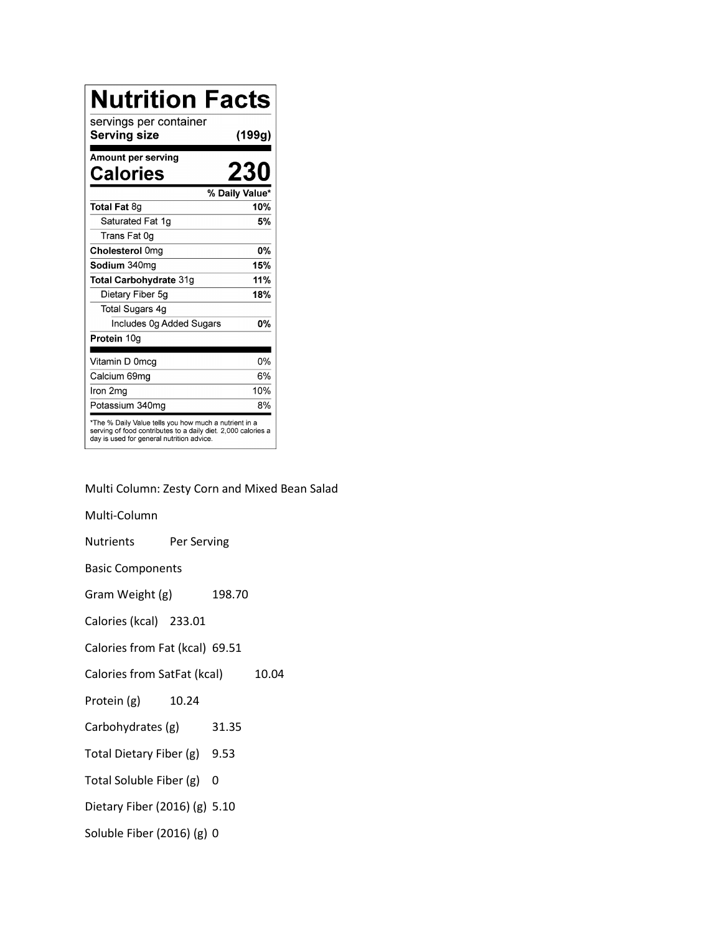| <b>Nutrition Facts</b>                                                                                                                                              |                |
|---------------------------------------------------------------------------------------------------------------------------------------------------------------------|----------------|
| servings per container<br>Serving size                                                                                                                              | (199g)         |
| Amount per serving<br>Calories                                                                                                                                      | 230            |
|                                                                                                                                                                     | % Daily Value* |
| Total Fat 8g                                                                                                                                                        | 10%            |
| Saturated Fat 1g                                                                                                                                                    | 5%             |
| Trans Fat 0g                                                                                                                                                        |                |
| Cholesterol 0mg                                                                                                                                                     | 0%             |
| Sodium 340mg                                                                                                                                                        | 15%            |
| Total Carbohydrate 31g                                                                                                                                              | 11%            |
| Dietary Fiber 5g                                                                                                                                                    | 18%            |
| Total Sugars 4g                                                                                                                                                     |                |
| Includes 0g Added Sugars                                                                                                                                            | <b>0%</b>      |
| Protein 10g                                                                                                                                                         |                |
|                                                                                                                                                                     | 0%             |
| Vitamin D 0mcg                                                                                                                                                      | 6%             |
| Calcium 69mg                                                                                                                                                        |                |
| Iron 2mg                                                                                                                                                            | 10%            |
| Potassium 340mg                                                                                                                                                     | 8%             |
| *The % Daily Value tells you how much a nutrient in a<br>serving of food contributes to a daily diet. 2,000 calories a<br>day is used for general nutrition advice. |                |

Multi Column: Zesty Corn and Mixed Bean Salad

Multi-Column

Nutrients Per Serving

Basic Components

Gram Weight (g) 198.70

Calories (kcal) 233.01

Calories from Fat (kcal) 69.51

Calories from SatFat (kcal) 10.04

Protein (g) 10.24

- Carbohydrates (g) 31.35
- Total Dietary Fiber (g) 9.53
- Total Soluble Fiber (g) 0
- Dietary Fiber (2016) (g) 5.10
- Soluble Fiber (2016) (g) 0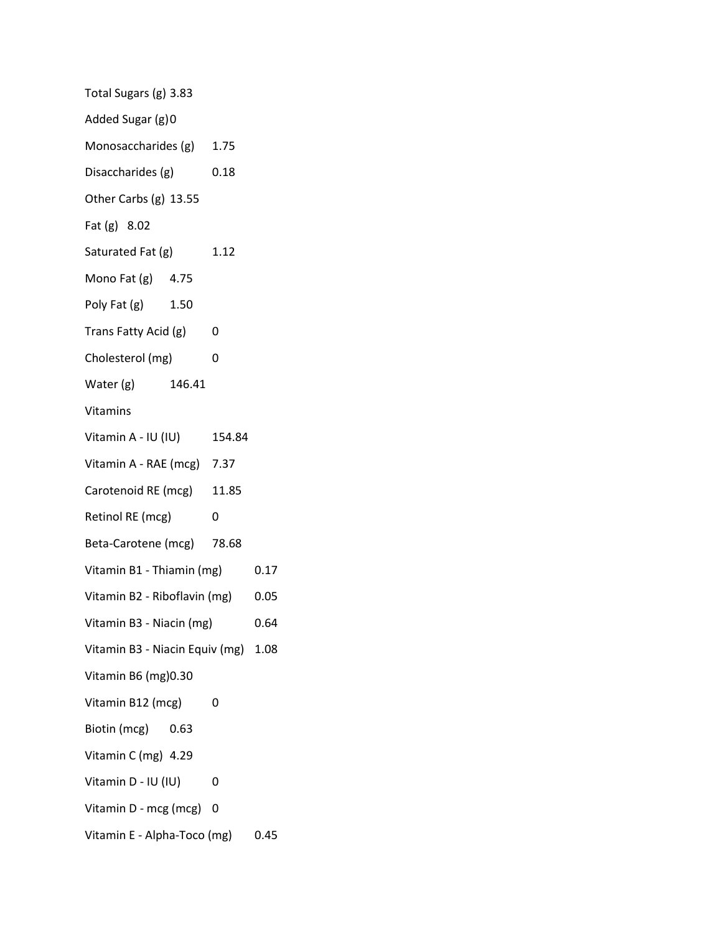| Total Sugars (g) 3.83               |  |        |      |
|-------------------------------------|--|--------|------|
| Added Sugar (g) 0                   |  |        |      |
| Monosaccharides (g) 1.75            |  |        |      |
| Disaccharides (g)                   |  | 0.18   |      |
| Other Carbs (g) 13.55               |  |        |      |
| Fat (g) 8.02                        |  |        |      |
| Saturated Fat (g)                   |  | 1.12   |      |
| Mono Fat (g) 4.75                   |  |        |      |
| Poly Fat (g) 1.50                   |  |        |      |
| Trans Fatty Acid (g)                |  | 0      |      |
| Cholesterol (mg)                    |  | 0      |      |
| Water (g) 146.41                    |  |        |      |
| <b>Vitamins</b>                     |  |        |      |
| Vitamin A - IU (IU)                 |  | 154.84 |      |
| Vitamin A - RAE (mcg) 7.37          |  |        |      |
| Carotenoid RE (mcg) 11.85           |  |        |      |
| Retinol RE (mcg)                    |  | 0      |      |
| Beta-Carotene (mcg) 78.68           |  |        |      |
| Vitamin B1 - Thiamin (mg)           |  |        | 0.17 |
| Vitamin B2 - Riboflavin (mg)        |  | 0.05   |      |
| Vitamin B3 - Niacin (mg)            |  | 0.64   |      |
| Vitamin B3 - Niacin Equiv (mg) 1.08 |  |        |      |
| Vitamin B6 (mg) 0.30                |  |        |      |
| Vitamin B12 (mcg)                   |  | 0      |      |
| Biotin (mcg) 0.63                   |  |        |      |
| Vitamin C (mg) 4.29                 |  |        |      |
| Vitamin D - IU (IU)                 |  | 0      |      |
| Vitamin D - mcg (mcg)               |  | 0      |      |
| Vitamin E - Alpha-Toco (mg)         |  |        | 0.45 |